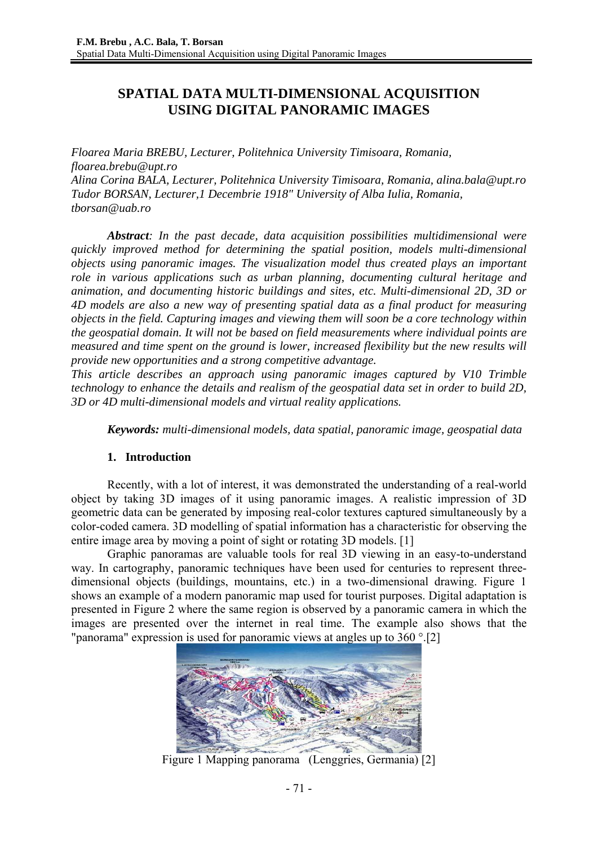# **SPATIAL DATA MULTI-DIMENSIONAL ACQUISITION USING DIGITAL PANORAMIC IMAGES**

*Floarea Maria BREBU, Lecturer, Politehnica University Timisoara, Romania, floarea.brebu@upt.ro Alina Corina BALA, Lecturer, Politehnica University Timisoara, Romania, alina.bala@upt.ro Tudor BORSAN, Lecturer,1 Decembrie 1918" University of Alba Iulia, Romania, tborsan@uab.ro* 

*Abstract: In the past decade, data acquisition possibilities multidimensional were quickly improved method for determining the spatial position, models multi-dimensional objects using panoramic images. The visualization model thus created plays an important role in various applications such as urban planning, documenting cultural heritage and animation, and documenting historic buildings and sites, etc. Multi-dimensional 2D, 3D or 4D models are also a new way of presenting spatial data as a final product for measuring objects in the field. Capturing images and viewing them will soon be a core technology within the geospatial domain. It will not be based on field measurements where individual points are measured and time spent on the ground is lower, increased flexibility but the new results will provide new opportunities and a strong competitive advantage.*

*This article describes an approach using panoramic images captured by V10 Trimble technology to enhance the details and realism of the geospatial data set in order to build 2D, 3D or 4D multi-dimensional models and virtual reality applications.* 

*Keywords: multi-dimensional models, data spatial, panoramic image, geospatial data* 

## **1. Introduction**

Recently, with a lot of interest, it was demonstrated the understanding of a real-world object by taking 3D images of it using panoramic images. A realistic impression of 3D geometric data can be generated by imposing real-color textures captured simultaneously by a color-coded camera. 3D modelling of spatial information has a characteristic for observing the entire image area by moving a point of sight or rotating 3D models. [1]

Graphic panoramas are valuable tools for real 3D viewing in an easy-to-understand way. In cartography, panoramic techniques have been used for centuries to represent threedimensional objects (buildings, mountains, etc.) in a two-dimensional drawing. Figure 1 shows an example of a modern panoramic map used for tourist purposes. Digital adaptation is presented in Figure 2 where the same region is observed by a panoramic camera in which the images are presented over the internet in real time. The example also shows that the "panorama" expression is used for panoramic views at angles up to 360 °.[2]



Figure 1 Mapping panorama (Lenggries, Germania) [2]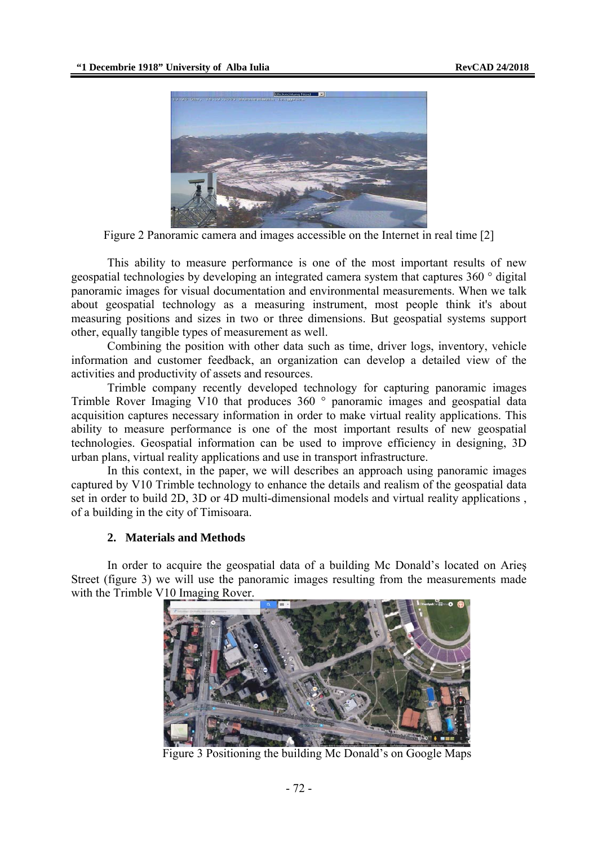

Figure 2 Panoramic camera and images accessible on the Internet in real time [2]

This ability to measure performance is one of the most important results of new geospatial technologies by developing an integrated camera system that captures 360 ° digital panoramic images for visual documentation and environmental measurements. When we talk about geospatial technology as a measuring instrument, most people think it's about measuring positions and sizes in two or three dimensions. But geospatial systems support other, equally tangible types of measurement as well.

Combining the position with other data such as time, driver logs, inventory, vehicle information and customer feedback, an organization can develop a detailed view of the activities and productivity of assets and resources.

Trimble company recently developed technology for capturing panoramic images Trimble Rover Imaging V10 that produces 360 ° panoramic images and geospatial data acquisition captures necessary information in order to make virtual reality applications. This ability to measure performance is one of the most important results of new geospatial technologies. Geospatial information can be used to improve efficiency in designing, 3D urban plans, virtual reality applications and use in transport infrastructure.

In this context, in the paper, we will describes an approach using panoramic images captured by V10 Trimble technology to enhance the details and realism of the geospatial data set in order to build 2D, 3D or 4D multi-dimensional models and virtual reality applications , of a building in the city of Timisoara.

#### **2. Materials and Methods**

In order to acquire the geospatial data of a building Mc Donald's located on Arieş Street (figure 3) we will use the panoramic images resulting from the measurements made with the Trimble V10 Imaging Rover.



Figure 3 Positioning the building Mc Donald's on Google Maps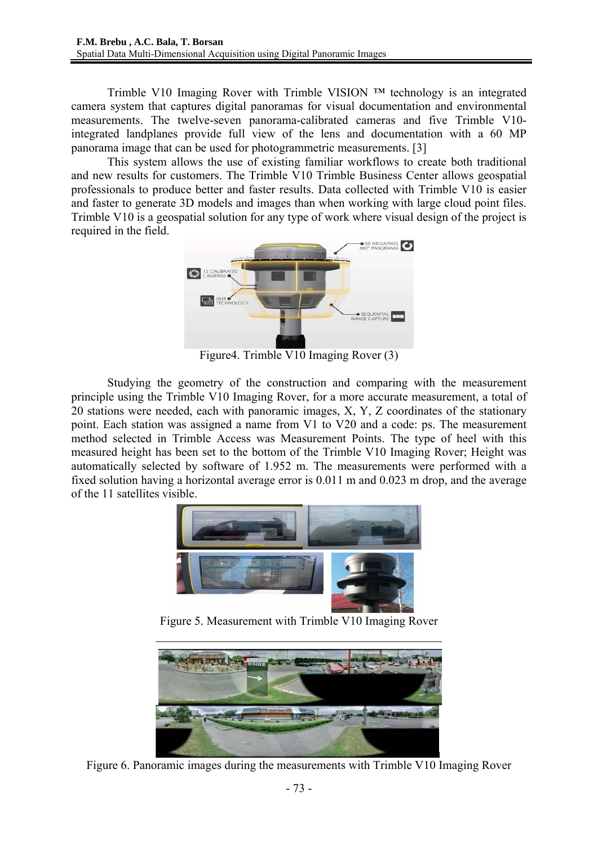Trimble V10 Imaging Rover with Trimble VISION ™ technology is an integrated camera system that captures digital panoramas for visual documentation and environmental measurements. The twelve-seven panorama-calibrated cameras and five Trimble V10 integrated landplanes provide full view of the lens and documentation with a 60 MP panorama image that can be used for photogrammetric measurements. [3]

This system allows the use of existing familiar workflows to create both traditional and new results for customers. The Trimble V10 Trimble Business Center allows geospatial professionals to produce better and faster results. Data collected with Trimble V10 is easier and faster to generate 3D models and images than when working with large cloud point files. Trimble V10 is a geospatial solution for any type of work where visual design of the project is required in the field.



Figure4. Trimble V10 Imaging Rover (3)

Studying the geometry of the construction and comparing with the measurement principle using the Trimble V10 Imaging Rover, for a more accurate measurement, a total of 20 stations were needed, each with panoramic images, X, Y, Z coordinates of the stationary point. Each station was assigned a name from V1 to V20 and a code: ps. The measurement method selected in Trimble Access was Measurement Points. The type of heel with this measured height has been set to the bottom of the Trimble V10 Imaging Rover; Height was automatically selected by software of 1.952 m. The measurements were performed with a fixed solution having a horizontal average error is 0.011 m and 0.023 m drop, and the average of the 11 satellites visible.



Figure 5. Measurement with Trimble V10 Imaging Rover



Figure 6. Panoramic images during the measurements with Trimble V10 Imaging Rover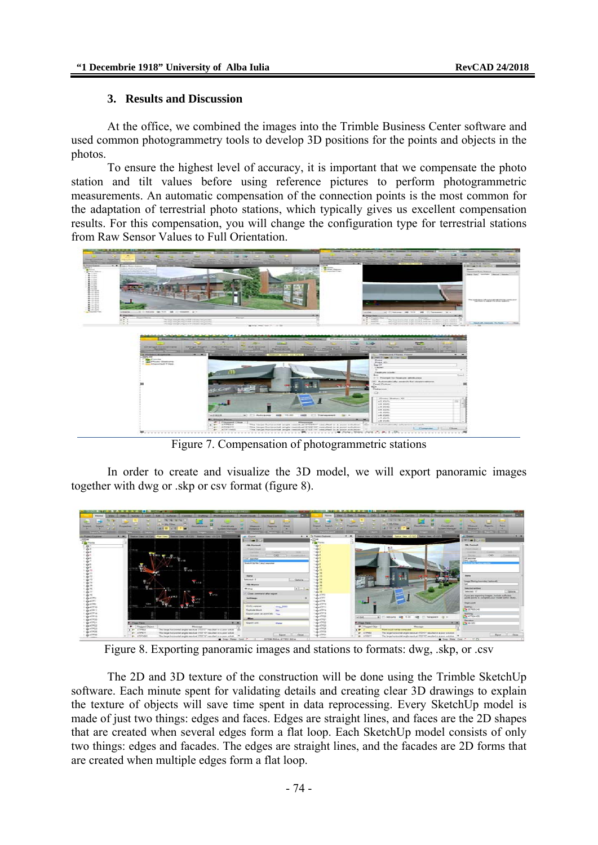### **3. Results and Discussion**

At the office, we combined the images into the Trimble Business Center software and used common photogrammetry tools to develop 3D positions for the points and objects in the photos.

To ensure the highest level of accuracy, it is important that we compensate the photo station and tilt values before using reference pictures to perform photogrammetric measurements. An automatic compensation of the connection points is the most common for the adaptation of terrestrial photo stations, which typically gives us excellent compensation results. For this compensation, you will change the configuration type for terrestrial stations from Raw Sensor Values to Full Orientation.



Figure 7. Compensation of photogrammetric stations

In order to create and visualize the 3D model, we will export panoramic images together with dwg or .skp or csv format (figure 8).



Figure 8. Exporting panoramic images and stations to formats: dwg, .skp, or .csv

The 2D and 3D texture of the construction will be done using the Trimble SketchUp software. Each minute spent for validating details and creating clear 3D drawings to explain the texture of objects will save time spent in data reprocessing. Every SketchUp model is made of just two things: edges and faces. Edges are straight lines, and faces are the 2D shapes that are created when several edges form a flat loop. Each SketchUp model consists of only two things: edges and facades. The edges are straight lines, and the facades are 2D forms that are created when multiple edges form a flat loop.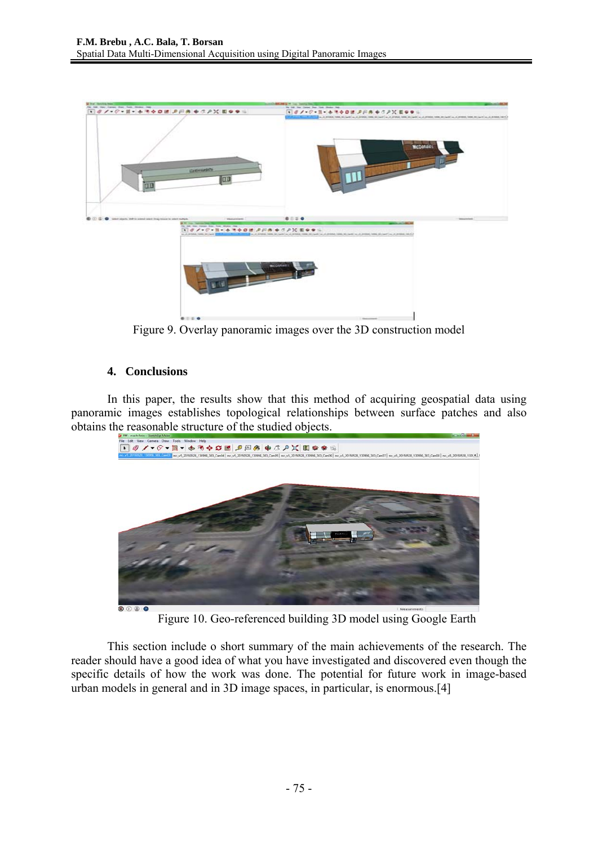

Figure 9. Overlay panoramic images over the 3D construction model

## **4. Conclusions**

In this paper, the results show that this method of acquiring geospatial data using panoramic images establishes topological relationships between surface patches and also obtains the reasonable structure of the studied objects.



Figure 10. Geo-referenced building 3D model using Google Earth

This section include o short summary of the main achievements of the research. The reader should have a good idea of what you have investigated and discovered even though the specific details of how the work was done. The potential for future work in image-based urban models in general and in 3D image spaces, in particular, is enormous.[4]